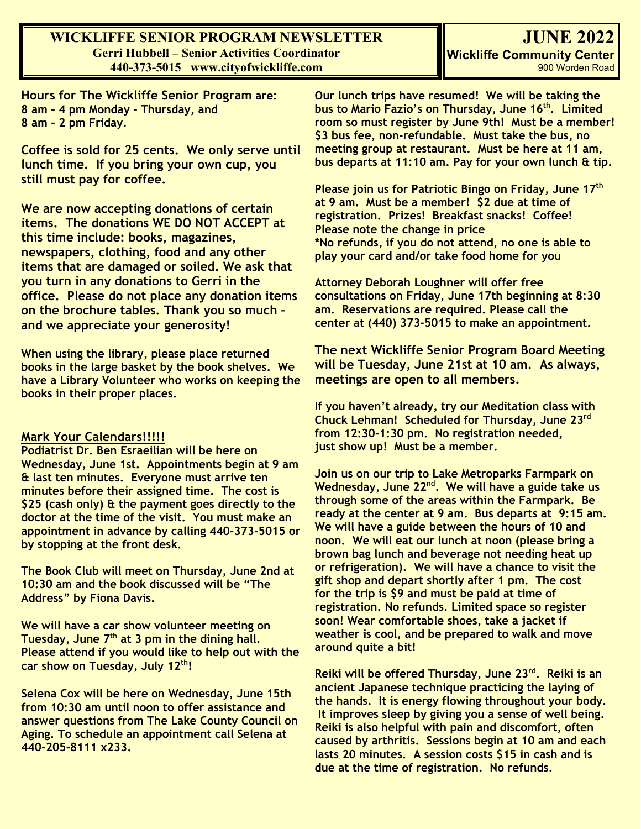### **WICKLIFFE SENIOR PROGRAM NEWSLETTER Gerri Hubbell – Senior Activities Coordinator 440-373-5015 www.cityofwickliffe.com**

**Hours for The Wickliffe Senior Program are: 8 am – 4 pm Monday – Thursday, and 8 am – 2 pm Friday.**

**Coffee is sold for 25 cents. We only serve until lunch time. If you bring your own cup, you still must pay for coffee.**

**We are now accepting donations of certain items. The donations WE DO NOT ACCEPT at this time include: books, magazines, newspapers, clothing, food and any other items that are damaged or soiled. We ask that you turn in any donations to Gerri in the office. Please do not place any donation items on the brochure tables. Thank you so much – and we appreciate your generosity!**

**When using the library, please place returned books in the large basket by the book shelves. We have a Library Volunteer who works on keeping the books in their proper places.** 

#### **Mark Your Calendars!!!!!**

**Podiatrist Dr. Ben Esraeilian will be here on Wednesday, June 1st. Appointments begin at 9 am & last ten minutes. Everyone must arrive ten minutes before their assigned time. The cost is \$25 (cash only) & the payment goes directly to the doctor at the time of the visit. You must make an appointment in advance by calling 440-373-5015 or by stopping at the front desk.**

**The Book Club will meet on Thursday, June 2nd at 10:30 am and the book discussed will be "The Address" by Fiona Davis.** 

**We will have a car show volunteer meeting on Tuesday, June 7th at 3 pm in the dining hall. Please attend if you would like to help out with the car show on Tuesday, July 12th!**

**Selena Cox will be here on Wednesday, June 15th from 10:30 am until noon to offer assistance and answer questions from The Lake County Council on Aging. To schedule an appointment call Selena at 440-205-8111 x233.**

**Our lunch trips have resumed! We will be taking the bus to Mario Fazio's on Thursday, June 16th. Limited room so must register by June 9th! Must be a member! \$3 bus fee, non-refundable. Must take the bus, no meeting group at restaurant. Must be here at 11 am, bus departs at 11:10 am. Pay for your own lunch & tip.**

**Please join us for Patriotic Bingo on Friday, June 17th at 9 am. Must be a member! \$2 due at time of registration. Prizes! Breakfast snacks! Coffee! Please note the change in price \*No refunds, if you do not attend, no one is able to play your card and/or take food home for you**

**Attorney Deborah Loughner will offer free consultations on Friday, June 17th beginning at 8:30 am. Reservations are required. Please call the center at (440) 373-5015 to make an appointment.**

**The next Wickliffe Senior Program Board Meeting will be Tuesday, June 21st at 10 am. As always, meetings are open to all members.**

**If you haven't already, try our Meditation class with Chuck Lehman! Scheduled for Thursday, June 23rd from 12:30-1:30 pm. No registration needed, just show up! Must be a member.**

**Join us on our trip to Lake Metroparks Farmpark on Wednesday, June 22nd. We will have a guide take us through some of the areas within the Farmpark. Be ready at the center at 9 am. Bus departs at 9:15 am. We will have a guide between the hours of 10 and noon. We will eat our lunch at noon (please bring a brown bag lunch and beverage not needing heat up or refrigeration). We will have a chance to visit the gift shop and depart shortly after 1 pm. The cost for the trip is \$9 and must be paid at time of registration. No refunds. Limited space so register soon! Wear comfortable shoes, take a jacket if weather is cool, and be prepared to walk and move around quite a bit!**

**Reiki will be offered Thursday, June 23rd. Reiki is an ancient Japanese technique practicing the laying of the hands. It is energy flowing throughout your body. It improves sleep by giving you a sense of well being. Reiki is also helpful with pain and discomfort, often caused by arthritis. Sessions begin at 10 am and each lasts 20 minutes. A session costs \$15 in cash and is due at the time of registration. No refunds.**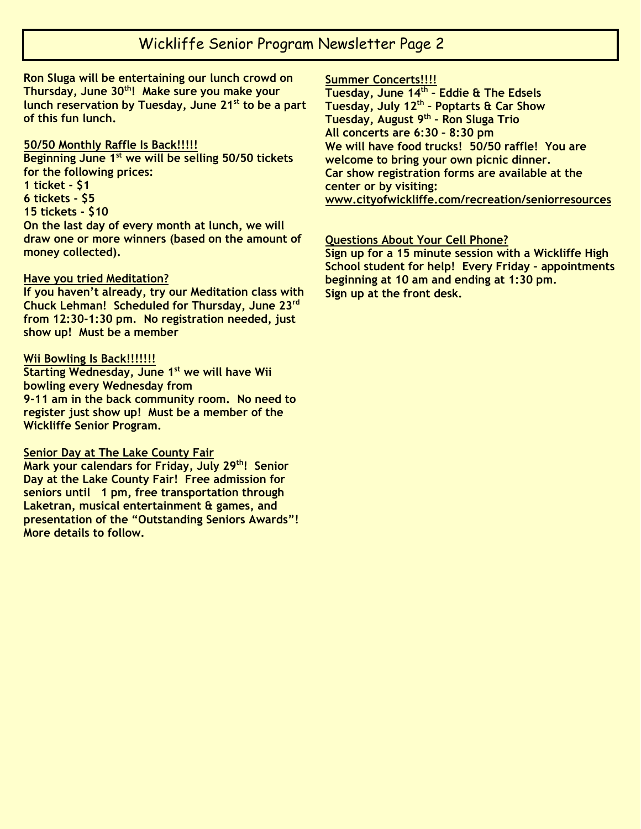## Wickliffe Senior Program Newsletter Page 2

**Ron Sluga will be entertaining our lunch crowd on Thursday, June 30th! Make sure you make your lunch reservation by Tuesday, June 21st to be a part of this fun lunch.**

#### **50/50 Monthly Raffle Is Back!!!!!**

**Beginning June 1st we will be selling 50/50 tickets for the following prices: 1 ticket - \$1 6 tickets - \$5 15 tickets - \$10 On the last day of every month at lunch, we will draw one or more winners (based on the amount of money collected).**

#### **Have you tried Meditation?**

**If you haven't already, try our Meditation class with Chuck Lehman! Scheduled for Thursday, June 23rd from 12:30-1:30 pm. No registration needed, just show up! Must be a member**

#### **Wii Bowling Is Back!!!!!!!**

**Starting Wednesday, June 1st we will have Wii bowling every Wednesday from 9-11 am in the back community room. No need to register just show up! Must be a member of the Wickliffe Senior Program.**

#### **Senior Day at The Lake County Fair**

**Mark your calendars for Friday, July 29th! Senior Day at the Lake County Fair! Free admission for seniors until 1 pm, free transportation through Laketran, musical entertainment & games, and presentation of the "Outstanding Seniors Awards"! More details to follow.**

#### **Summer Concerts!!!!**

**Tuesday, June 14th – Eddie & The Edsels Tuesday, July 12th – Poptarts & Car Show Tuesday, August 9th – Ron Sluga Trio All concerts are 6:30 – 8:30 pm We will have food trucks! 50/50 raffle! You are welcome to bring your own picnic dinner. Car show registration forms are available at the center or by visiting: [www.cityofwickliffe.com/recreation/seniorresources](http://www.cityofwickliffe.com/recreation/seniorresources)**

#### **Questions About Your Cell Phone?**

**Sign up for a 15 minute session with a Wickliffe High School student for help! Every Friday – appointments beginning at 10 am and ending at 1:30 pm. Sign up at the front desk.**